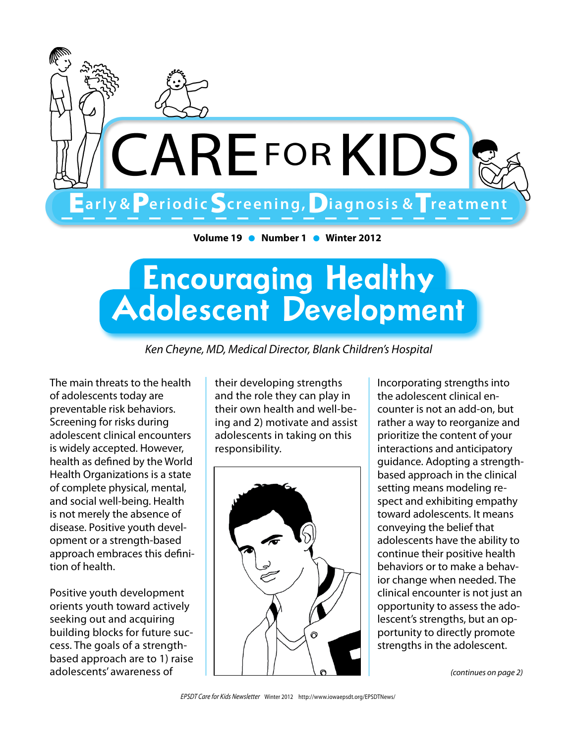

**Volume 19** l **Number 1** l **Winter 2012**

# Encouraging Healthy Adolescent Development

*Ken Cheyne, MD, Medical Director, Blank Children's Hospital*

The main threats to the health of adolescents today are preventable risk behaviors. Screening for risks during adolescent clinical encounters is widely accepted. However, health as defined by the World Health Organizations is a state of complete physical, mental, and social well-being. Health is not merely the absence of disease. Positive youth development or a strength-based approach embraces this definition of health.

Positive youth development orients youth toward actively seeking out and acquiring building blocks for future success. The goals of a strengthbased approach are to 1) raise adolescents' awareness of

their developing strengths and the role they can play in their own health and well-being and 2) motivate and assist adolescents in taking on this responsibility.



Incorporating strengths into the adolescent clinical encounter is not an add-on, but rather a way to reorganize and prioritize the content of your interactions and anticipatory guidance. Adopting a strengthbased approach in the clinical setting means modeling respect and exhibiting empathy toward adolescents. It means conveying the belief that adolescents have the ability to continue their positive health behaviors or to make a behavior change when needed. The clinical encounter is not just an opportunity to assess the adolescent's strengths, but an opportunity to directly promote strengths in the adolescent.

*(continues on page 2)*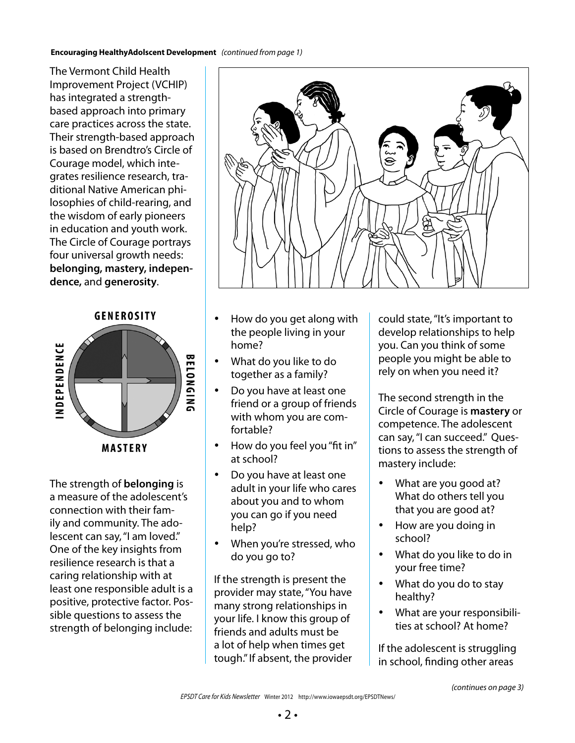#### **Encouraging HealthyAdolscent Development** *(continued from page 1)*

The Vermont Child Health Improvement Project (VCHIP) has integrated a strengthbased approach into primary care practices across the state. Their strength-based approach is based on Brendtro's Circle of Courage model, which integrates resilience research, traditional Native American philosophies of child-rearing, and the wisdom of early pioneers in education and youth work. The Circle of Courage portrays four universal growth needs: **belonging, mastery, independence,** and **generosity**.





The strength of **belonging** is a measure of the adolescent's connection with their family and community. The adolescent can say, "I am loved." One of the key insights from resilience research is that a caring relationship with at least one responsible adult is a positive, protective factor. Possible questions to assess the strength of belonging include:



- How do you get along with the people living in your home?
- What do you like to do together as a family?
- Do you have at least one friend or a group of friends with whom you are comfortable?
- How do you feel you "fit in" at school?
- Do you have at least one adult in your life who cares about you and to whom you can go if you need help?
- When you're stressed, who do you go to?

If the strength is present the provider may state, "You have many strong relationships in your life. I know this group of friends and adults must be a lot of help when times get tough." If absent, the provider could state, "It's important to develop relationships to help you. Can you think of some people you might be able to rely on when you need it?

The second strength in the Circle of Courage is **mastery** or competence. The adolescent can say, "I can succeed." Questions to assess the strength of mastery include:

- What are you good at? What do others tell you that you are good at?
- How are you doing in school?
- What do you like to do in your free time?
- What do you do to stay healthy?
- What are your responsibilities at school? At home?

If the adolescent is struggling in school, finding other areas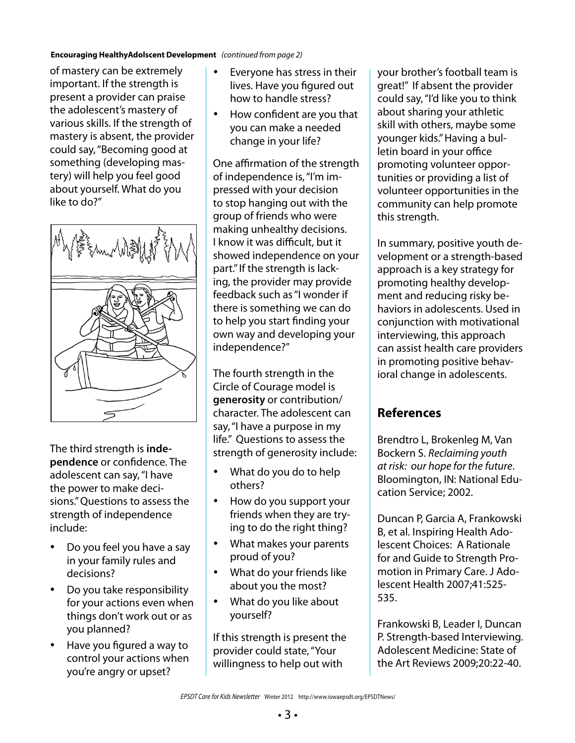#### **Encouraging HealthyAdolscent Development** *(continued from page 2)*

of mastery can be extremely important. If the strength is present a provider can praise the adolescent's mastery of various skills. If the strength of mastery is absent, the provider could say, "Becoming good at something (developing mastery) will help you feel good about yourself. What do you like to do?"



The third strength is **independence** or confidence. The adolescent can say, "I have the power to make decisions." Questions to assess the strength of independence include:

- Do you feel you have a say in your family rules and decisions?
- Do you take responsibility for your actions even when things don't work out or as you planned?
- Have you figured a way to control your actions when you're angry or upset?
- Everyone has stress in their lives. Have you figured out how to handle stress?
- How confident are you that you can make a needed change in your life?

One affirmation of the strength of independence is, "I'm impressed with your decision to stop hanging out with the group of friends who were making unhealthy decisions. I know it was difficult, but it showed independence on your part." If the strength is lacking, the provider may provide feedback such as "I wonder if there is something we can do to help you start finding your own way and developing your independence?"

The fourth strength in the Circle of Courage model is **generosity** or contribution/ character. The adolescent can say, "I have a purpose in my life." Questions to assess the strength of generosity include:

- What do you do to help others?
- How do you support your friends when they are trying to do the right thing?
- • What makes your parents proud of you?
- What do your friends like about you the most?
- What do you like about yourself?

If this strength is present the provider could state, "Your willingness to help out with

your brother's football team is great!" If absent the provider could say, "I'd like you to think about sharing your athletic skill with others, maybe some younger kids." Having a bulletin board in your office promoting volunteer opportunities or providing a list of volunteer opportunities in the community can help promote this strength.

In summary, positive youth development or a strength-based approach is a key strategy for promoting healthy development and reducing risky behaviors in adolescents. Used in conjunction with motivational interviewing, this approach can assist health care providers in promoting positive behavioral change in adolescents.

#### **References**

Brendtro L, Brokenleg M, Van Bockern S. *Reclaiming youth at risk: our hope for the future*. Bloomington, IN: National Education Service; 2002.

Duncan P, Garcia A, Frankowski B, et al. Inspiring Health Adolescent Choices: A Rationale for and Guide to Strength Promotion in Primary Care. J Adolescent Health 2007;41:525- 535.

Frankowski B, Leader I, Duncan P. Strength-based Interviewing. Adolescent Medicine: State of the Art Reviews 2009;20:22-40.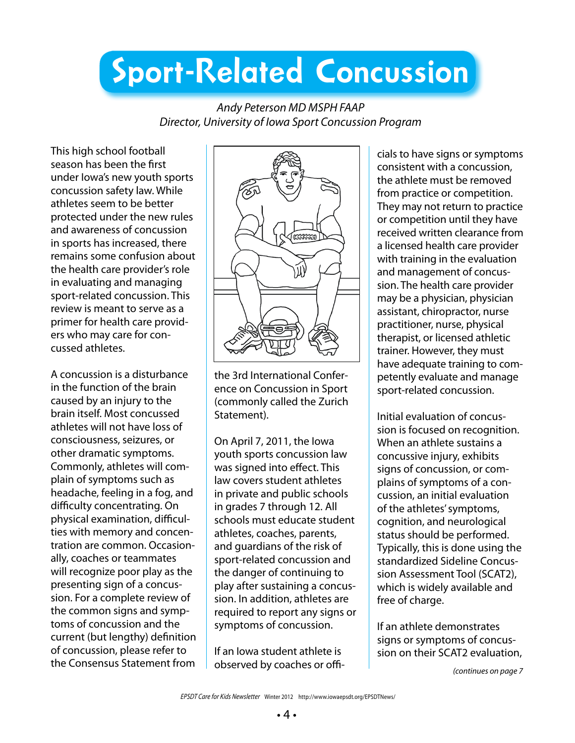# Sport-Related Concussion

*Andy Peterson MD MSPH FAAP Director, University of Iowa Sport Concussion Program*

This high school football season has been the first under Iowa's new youth sports concussion safety law. While athletes seem to be better protected under the new rules and awareness of concussion in sports has increased, there remains some confusion about the health care provider's role in evaluating and managing sport-related concussion. This review is meant to serve as a primer for health care providers who may care for concussed athletes.

A concussion is a disturbance in the function of the brain caused by an injury to the brain itself. Most concussed athletes will not have loss of consciousness, seizures, or other dramatic symptoms. Commonly, athletes will complain of symptoms such as headache, feeling in a fog, and difficulty concentrating. On physical examination, difficulties with memory and concentration are common. Occasionally, coaches or teammates will recognize poor play as the presenting sign of a concussion. For a complete review of the common signs and symptoms of concussion and the current (but lengthy) definition of concussion, please refer to the Consensus Statement from



the 3rd International Conference on Concussion in Sport (commonly called the Zurich Statement).

On April 7, 2011, the Iowa youth sports concussion law was signed into effect. This law covers student athletes in private and public schools in grades 7 through 12. All schools must educate student athletes, coaches, parents, and guardians of the risk of sport-related concussion and the danger of continuing to play after sustaining a concussion. In addition, athletes are required to report any signs or symptoms of concussion.

If an Iowa student athlete is observed by coaches or offi-

cials to have signs or symptoms consistent with a concussion, the athlete must be removed from practice or competition. They may not return to practice or competition until they have received written clearance from a licensed health care provider with training in the evaluation and management of concussion. The health care provider may be a physician, physician assistant, chiropractor, nurse practitioner, nurse, physical therapist, or licensed athletic trainer. However, they must have adequate training to competently evaluate and manage sport-related concussion.

Initial evaluation of concussion is focused on recognition. When an athlete sustains a concussive injury, exhibits signs of concussion, or complains of symptoms of a concussion, an initial evaluation of the athletes' symptoms, cognition, and neurological status should be performed. Typically, this is done using the standardized Sideline Concussion Assessment Tool (SCAT2), which is widely available and free of charge.

If an athlete demonstrates signs or symptoms of concussion on their SCAT2 evaluation,

*(continues on page 7*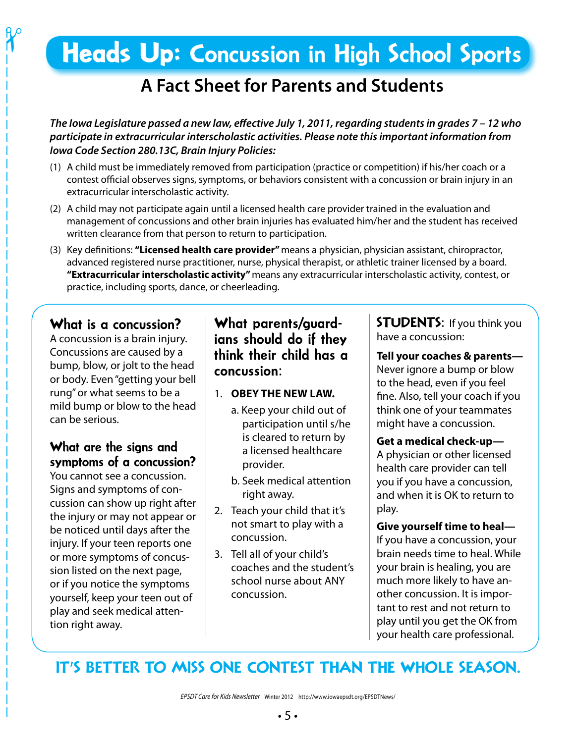## Heads Up: Concussion in High School Sports

## **A Fact Sheet for Parents and Students**

*The Iowa Legislature passed a new law, effective July 1, 2011, regarding students in grades 7 – 12 who participate in extracurricular interscholastic activities. Please note this important information from Iowa Code Section 280.13C, Brain Injury Policies:*

- (1) A child must be immediately removed from participation (practice or competition) if his/her coach or a contest official observes signs, symptoms, or behaviors consistent with a concussion or brain injury in an extracurricular interscholastic activity.
- (2) A child may not participate again until a licensed health care provider trained in the evaluation and management of concussions and other brain injuries has evaluated him/her and the student has received written clearance from that person to return to participation.
- (3) Key definitions: **"Licensed health care provider"** means a physician, physician assistant, chiropractor, advanced registered nurse practitioner, nurse, physical therapist, or athletic trainer licensed by a board. **"Extracurricular interscholastic activity"** means any extracurricular interscholastic activity, contest, or practice, including sports, dance, or cheerleading.

### What is a concussion?

 $\boldsymbol{\gamma}$ 

A concussion is a brain injury. Concussions are caused by a bump, blow, or jolt to the head or body. Even "getting your bell rung" or what seems to be a mild bump or blow to the head can be serious.

### What are the signs and symptoms of a concussion?

You cannot see a concussion. Signs and symptoms of concussion can show up right after the injury or may not appear or be noticed until days after the injury. If your teen reports one or more symptoms of concussion listed on the next page, or if you notice the symptoms yourself, keep your teen out of play and seek medical attention right away.

#### What parents/guardians should do if they think their child has a concussion:

- 1. **OBEY THE NEW LAW.**
	- a. Keep your child out of participation until s/he is cleared to return by a licensed healthcare provider.
	- b. Seek medical attention right away.
- 2. Teach your child that it's not smart to play with a concussion.
- 3. Tell all of your child's coaches and the student's school nurse about ANY concussion.

STUDENTS:If you think you have a concussion:

**Tell your coaches & parents—** Never ignore a bump or blow to the head, even if you feel fine. Also, tell your coach if you think one of your teammates might have a concussion.

#### **Get a medical check-up—**

A physician or other licensed health care provider can tell you if you have a concussion, and when it is OK to return to play.

## **Give yourself time to heal—**

If you have a concussion, your brain needs time to heal. While your brain is healing, you are much more likely to have another concussion. It is important to rest and not return to play until you get the OK from your health care professional.

## IT'S BETTER TO MISS ONE CONTEST THAN THE WHOLE SEASON.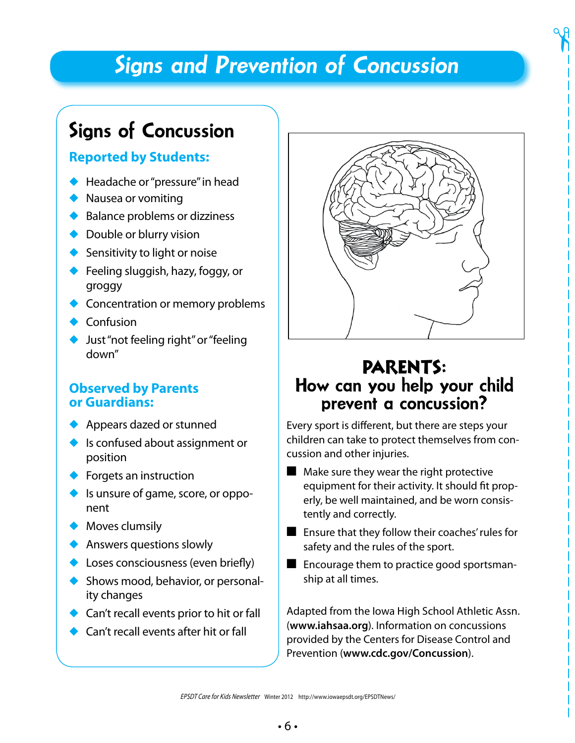## *Signs and Prevention of Concussion*

## Signs of Concussion

#### **Reported by Students:**

- $\blacklozenge$  Headache or "pressure" in head
- $\blacklozenge$  Nausea or vomiting
- $\blacklozenge$  Balance problems or dizziness
- $\bullet$  Double or blurry vision
- $\blacklozenge$  Sensitivity to light or noise
- $\blacklozenge$  Feeling sluggish, hazy, foggy, or groggy
- Concentration or memory problems
- $\bullet$  Confusion
- Just "not feeling right" or "feeling down"

#### **Observed by Parents or Guardians:**

- Appears dazed or stunned
- $\bullet$  Is confused about assignment or position
- $\blacklozenge$  Forgets an instruction
- $\bullet$  Is unsure of game, score, or opponent
- $\bullet$  Moves clumsily
- $\blacklozenge$  Answers questions slowly
- $\triangle$  Loses consciousness (even briefly)
- $\blacklozenge$  Shows mood, behavior, or personality changes
- $\triangle$  Can't recall events prior to hit or fall
- Can't recall events after hit or fall



 $\gamma$ 

## PARENTS: How can you help your child prevent a concussion?

Every sport is different, but there are steps your children can take to protect themselves from concussion and other injuries.

- $\blacksquare$  Make sure they wear the right protective equipment for their activity. It should fit properly, be well maintained, and be worn consistently and correctly.
- $\blacksquare$  Ensure that they follow their coaches' rules for safety and the rules of the sport.
- $\blacksquare$  Encourage them to practice good sportsmanship at all times.

Adapted from the Iowa High School Athletic Assn. (**www.iahsaa.org**). Information on concussions provided by the Centers for Disease Control and Prevention (**www.cdc.gov/Concussion**).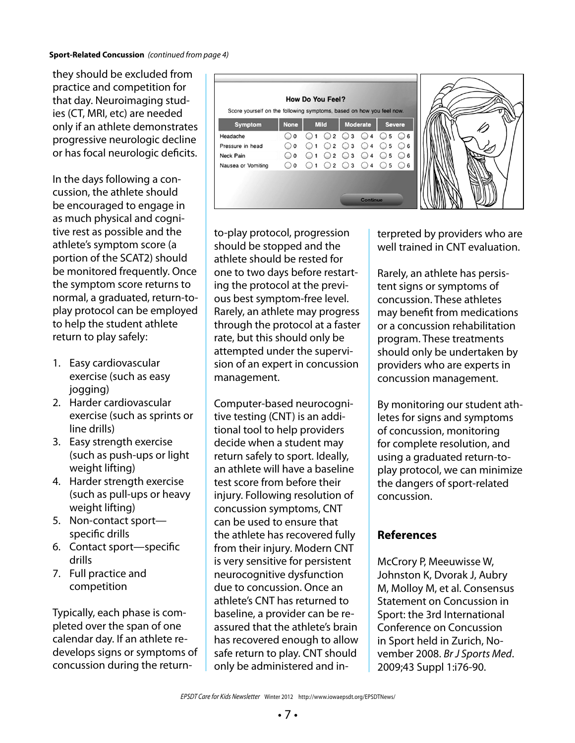they should be excluded from practice and competition for that day. Neuroimaging studies (CT, MRI, etc) are needed only if an athlete demonstrates progressive neurologic decline or has focal neurologic deficits.

In the days following a concussion, the athlete should be encouraged to engage in as much physical and cognitive rest as possible and the athlete's symptom score (a portion of the SCAT2) should be monitored frequently. Once the symptom score returns to normal, a graduated, return-toplay protocol can be employed to help the student athlete return to play safely:

- 1. Easy cardiovascular exercise (such as easy jogging)
- 2. Harder cardiovascular exercise (such as sprints or line drills)
- 3. Easy strength exercise (such as push-ups or light weight lifting)
- 4. Harder strength exercise (such as pull-ups or heavy weight lifting)
- 5. Non-contact sport specific drills
- 6. Contact sport—specific drills
- 7. Full practice and competition

Typically, each phase is completed over the span of one calendar day. If an athlete redevelops signs or symptoms of concussion during the return-



to-play protocol, progression should be stopped and the athlete should be rested for one to two days before restarting the protocol at the previous best symptom-free level. Rarely, an athlete may progress through the protocol at a faster rate, but this should only be attempted under the supervision of an expert in concussion management.

Computer-based neurocognitive testing (CNT) is an additional tool to help providers decide when a student may return safely to sport. Ideally, an athlete will have a baseline test score from before their injury. Following resolution of concussion symptoms, CNT can be used to ensure that the athlete has recovered fully from their injury. Modern CNT is very sensitive for persistent neurocognitive dysfunction due to concussion. Once an athlete's CNT has returned to baseline, a provider can be reassured that the athlete's brain has recovered enough to allow safe return to play. CNT should only be administered and interpreted by providers who are well trained in CNT evaluation.

Rarely, an athlete has persistent signs or symptoms of concussion. These athletes may benefit from medications or a concussion rehabilitation program. These treatments should only be undertaken by providers who are experts in concussion management.

By monitoring our student athletes for signs and symptoms of concussion, monitoring for complete resolution, and using a graduated return-toplay protocol, we can minimize the dangers of sport-related concussion.

#### **References**

McCrory P, Meeuwisse W, Johnston K, Dvorak J, Aubry M, Molloy M, et al. Consensus Statement on Concussion in Sport: the 3rd International Conference on Concussion in Sport held in Zurich, November 2008. *Br J Sports Med*. 2009;43 Suppl 1:i76-90.